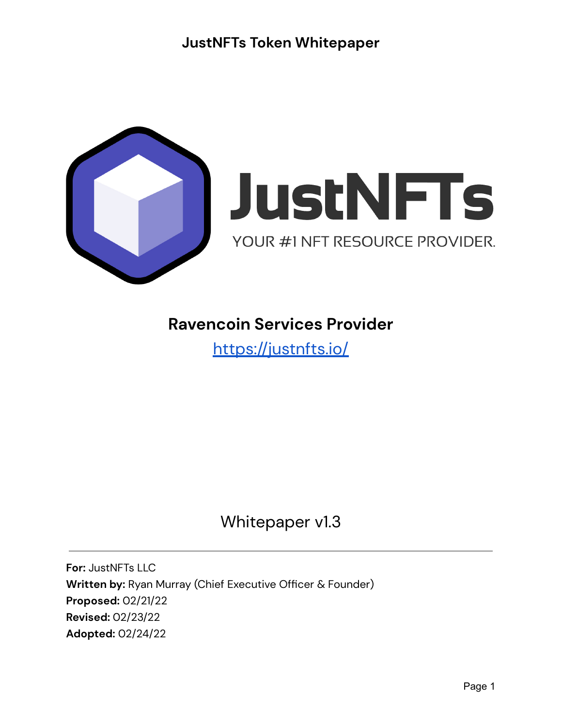



### **Ravencoin Services Provider**

<https://justnfts.io/>

## Whitepaper v1.3

**For:** JustNFTs LLC **Written by:** Ryan Murray (Chief Executive Officer & Founder) **Proposed:** 02/21/22 **Revised:** 02/23/22 **Adopted:** 02/24/22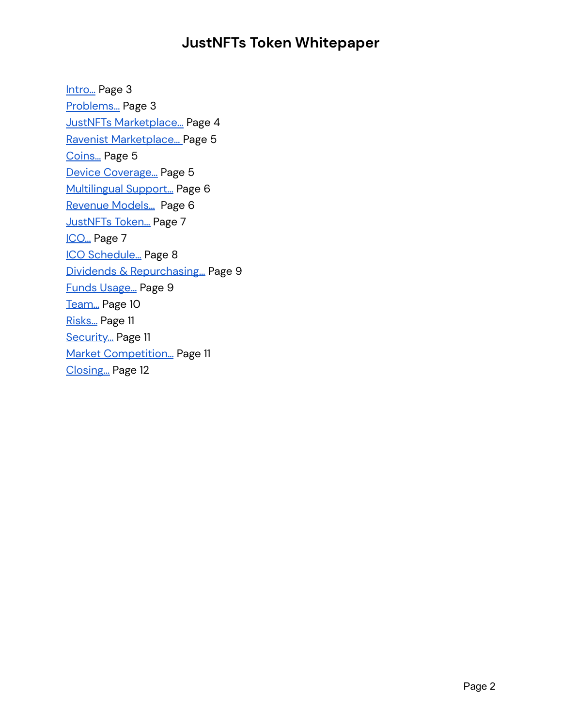Intro... Page 3 [Problems…](#page-2-1) Page 3 JustNFTs [Marketplace…](#page-3-0) Page 4 Ravenist [Marketplace…](#page-4-0) Page 5 [Coins…](#page-4-1) Page 5 Device [Coverage…](#page-4-2) Page 5 [Multilingual](#page-5-0) Support… Page 6 Revenue [Models…](#page-5-1) Page 6 [JustNFTs](#page-6-0) Token… Page 7 [ICO…](#page-6-1) Page 7 ICO [Schedule…](#page-7-0) Page 8 Dividends & [Repurchasing…](#page-8-0) Page 9 Funds [Usage…](#page-8-1) Page 9 Team... Page 10 [Risks…](#page-10-0) Page 11 [Security…](#page-10-1) Page 11 Market [Competition…](#page-10-2) Page 11 [Closing…](#page-11-0) Page 12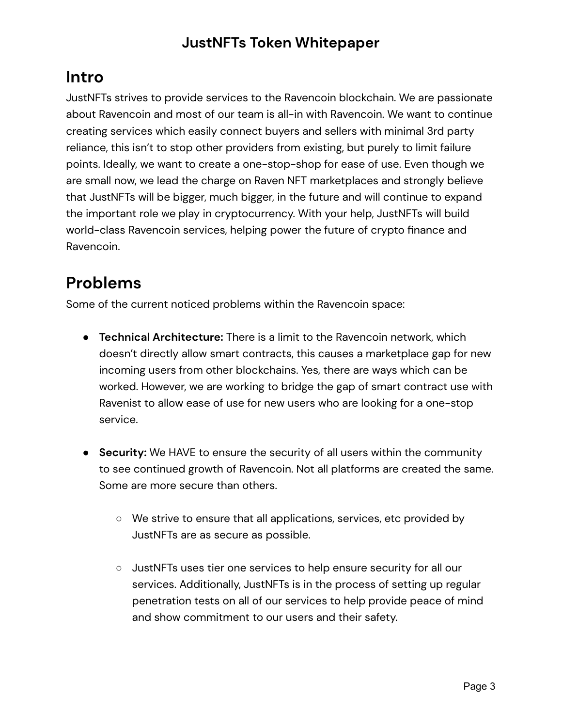### <span id="page-2-0"></span>**Intro**

JustNFTs strives to provide services to the Ravencoin blockchain. We are passionate about Ravencoin and most of our team is all-in with Ravencoin. We want to continue creating services which easily connect buyers and sellers with minimal 3rd party reliance, this isn't to stop other providers from existing, but purely to limit failure points. Ideally, we want to create a one-stop-shop for ease of use. Even though we are small now, we lead the charge on Raven NFT marketplaces and strongly believe that JustNFTs will be bigger, much bigger, in the future and will continue to expand the important role we play in cryptocurrency. With your help, JustNFTs will build world-class Ravencoin services, helping power the future of crypto finance and Ravencoin.

## <span id="page-2-1"></span>**Problems**

Some of the current noticed problems within the Ravencoin space:

- **Technical Architecture:** There is a limit to the Ravencoin network, which doesn't directly allow smart contracts, this causes a marketplace gap for new incoming users from other blockchains. Yes, there are ways which can be worked. However, we are working to bridge the gap of smart contract use with Ravenist to allow ease of use for new users who are looking for a one-stop service.
- **● Security:** We HAVE to ensure the security of all users within the community to see continued growth of Ravencoin. Not all platforms are created the same. Some are more secure than others.
	- **○** We strive to ensure that all applications, services, etc provided by JustNFTs are as secure as possible.
	- **○** JustNFTs uses tier one services to help ensure security for all our services. Additionally, JustNFTs is in the process of setting up regular penetration tests on all of our services to help provide peace of mind and show commitment to our users and their safety.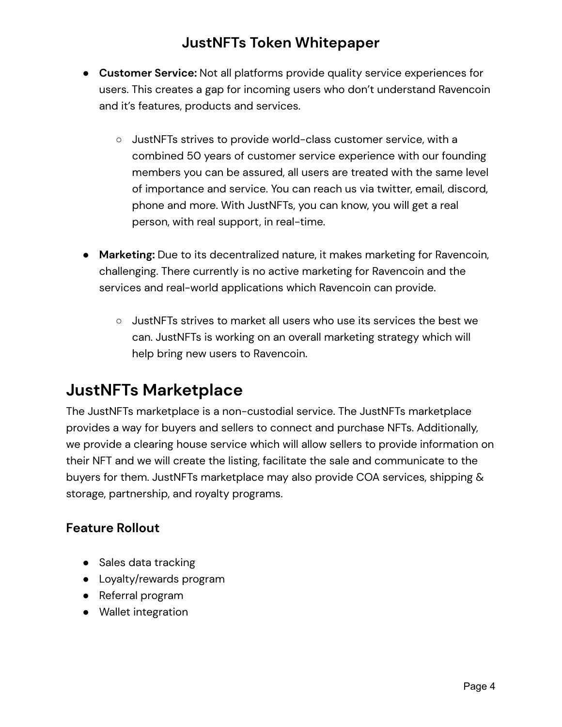- **● Customer Service:** Not all platforms provide quality service experiences for users. This creates a gap for incoming users who don't understand Ravencoin and it's features, products and services.
	- **○** JustNFTs strives to provide world-class customer service, with a combined 50 years of customer service experience with our founding members you can be assured, all users are treated with the same level of importance and service. You can reach us via twitter, email, discord, phone and more. With JustNFTs, you can know, you will get a real person, with real support, in real-time.
- **● Marketing:** Due to its decentralized nature, it makes marketing for Ravencoin, challenging. There currently is no active marketing for Ravencoin and the services and real-world applications which Ravencoin can provide.
	- JustNFTs strives to market all users who use its services the best we can. JustNFTs is working on an overall marketing strategy which will help bring new users to Ravencoin.

### <span id="page-3-0"></span>**JustNFTs Marketplace**

The JustNFTs marketplace is a non-custodial service. The JustNFTs marketplace provides a way for buyers and sellers to connect and purchase NFTs. Additionally, we provide a clearing house service which will allow sellers to provide information on their NFT and we will create the listing, facilitate the sale and communicate to the buyers for them. JustNFTs marketplace may also provide COA services, shipping & storage, partnership, and royalty programs.

#### **Feature Rollout**

- Sales data tracking
- Loyalty/rewards program
- Referral program
- Wallet integration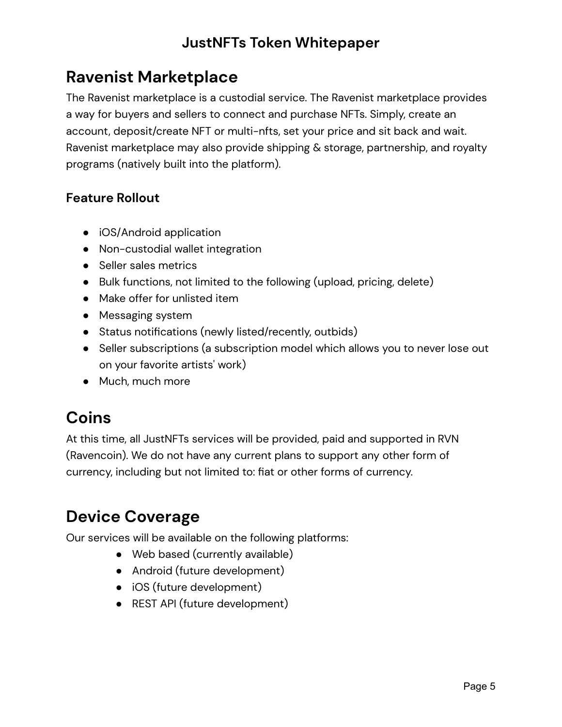### <span id="page-4-0"></span>**Ravenist Marketplace**

The Ravenist marketplace is a custodial service. The Ravenist marketplace provides a way for buyers and sellers to connect and purchase NFTs. Simply, create an account, deposit/create NFT or multi-nfts, set your price and sit back and wait. Ravenist marketplace may also provide shipping & storage, partnership, and royalty programs (natively built into the platform).

#### **Feature Rollout**

- iOS/Android application
- Non-custodial wallet integration
- Seller sales metrics
- Bulk functions, not limited to the following (upload, pricing, delete)
- Make offer for unlisted item
- Messaging system
- Status notifications (newly listed/recently, outbids)
- Seller subscriptions (a subscription model which allows you to never lose out on your favorite artists' work)
- Much, much more

## <span id="page-4-1"></span>**Coins**

At this time, all JustNFTs services will be provided, paid and supported in RVN (Ravencoin). We do not have any current plans to support any other form of currency, including but not limited to: fiat or other forms of currency.

## <span id="page-4-2"></span>**Device Coverage**

Our services will be available on the following platforms:

- Web based (currently available)
- Android (future development)
- iOS (future development)
- REST API (future development)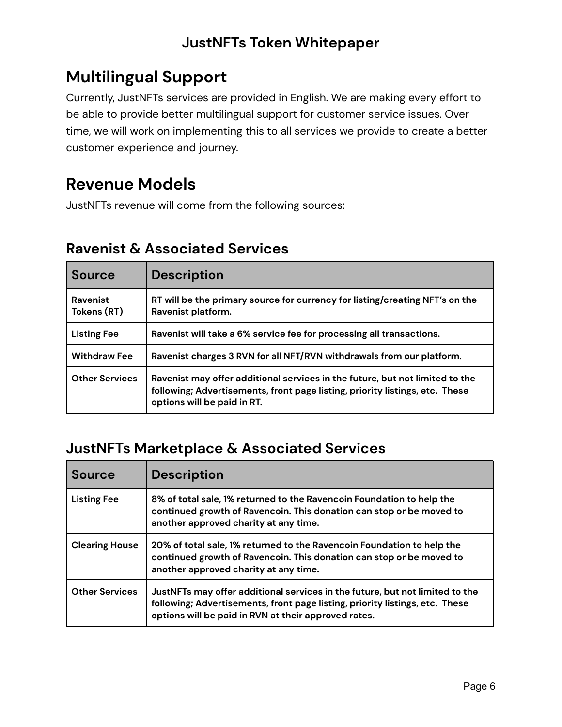## <span id="page-5-0"></span>**Multilingual Support**

Currently, JustNFTs services are provided in English. We are making every effort to be able to provide better multilingual support for customer service issues. Over time, we will work on implementing this to all services we provide to create a better customer experience and journey.

### <span id="page-5-1"></span>**Revenue Models**

JustNFTs revenue will come from the following sources:

#### **Ravenist & Associated Services**

| <b>Source</b>           | <b>Description</b>                                                                                                                                                                          |  |
|-------------------------|---------------------------------------------------------------------------------------------------------------------------------------------------------------------------------------------|--|
| Ravenist<br>Tokens (RT) | RT will be the primary source for currency for listing/creating NFT's on the<br>Ravenist platform.                                                                                          |  |
| <b>Listing Fee</b>      | Ravenist will take a 6% service fee for processing all transactions.                                                                                                                        |  |
| <b>Withdraw Fee</b>     | Ravenist charges 3 RVN for all NFT/RVN withdrawals from our platform.                                                                                                                       |  |
| <b>Other Services</b>   | Ravenist may offer additional services in the future, but not limited to the<br>following; Advertisements, front page listing, priority listings, etc. These<br>options will be paid in RT. |  |

#### **JustNFTs Marketplace & Associated Services**

| <b>Source</b>         | <b>Description</b>                                                                                                                                                                                                   |  |
|-----------------------|----------------------------------------------------------------------------------------------------------------------------------------------------------------------------------------------------------------------|--|
| <b>Listing Fee</b>    | 8% of total sale, 1% returned to the Ravencoin Foundation to help the<br>continued growth of Ravencoin. This donation can stop or be moved to<br>another approved charity at any time.                               |  |
| <b>Clearing House</b> | 20% of total sale, 1% returned to the Ravencoin Foundation to help the<br>continued growth of Ravencoin. This donation can stop or be moved to<br>another approved charity at any time.                              |  |
| <b>Other Services</b> | JustNFTs may offer additional services in the future, but not limited to the<br>following; Advertisements, front page listing, priority listings, etc. These<br>options will be paid in RVN at their approved rates. |  |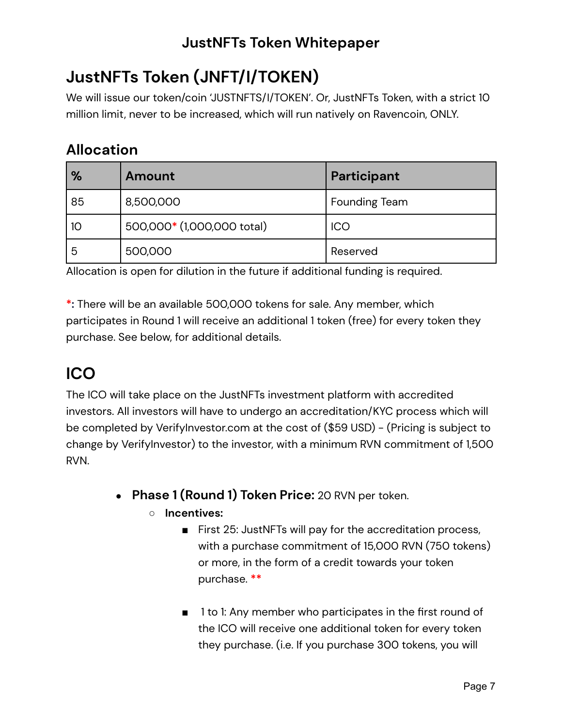# <span id="page-6-0"></span>**JustNFTs Token (JNFT/I/TOKEN)**

We will issue our token/coin 'JUSTNFTS/I/TOKEN'. Or, JustNFTs Token, with a strict 10 million limit, never to be increased, which will run natively on Ravencoin, ONLY.

### **Allocation**

| $\%$ | Amount                     | Participant          |
|------|----------------------------|----------------------|
| 85   | 8,500,000                  | <b>Founding Team</b> |
| 10   | 500,000* (1,000,000 total) | <b>ICO</b>           |
| 5    | 500,000                    | Reserved             |

Allocation is open for dilution in the future if additional funding is required.

**\*:** There will be an available 500,000 tokens for sale. Any member, which participates in Round 1 will receive an additional 1 token (free) for every token they purchase. See below, for additional details.

# <span id="page-6-1"></span>**ICO**

The ICO will take place on the JustNFTs investment platform with accredited investors. All investors will have to undergo an accreditation/KYC process which will be completed by VerifyInvestor.com at the cost of (\$59 USD) - (Pricing is subject to change by VerifyInvestor) to the investor, with a minimum RVN commitment of 1,500 RVN.

- **Phase 1 (Round 1) Token Price:** 20 RVN per token.
	- **○ Incentives:**
		- First 25: JustNFTs will pay for the accreditation process, with a purchase commitment of 15,000 RVN (750 tokens) or more, in the form of a credit towards your token purchase. **\*\***
		- 1 to 1: Any member who participates in the first round of the ICO will receive one additional token for every token they purchase. (i.e. If you purchase 300 tokens, you will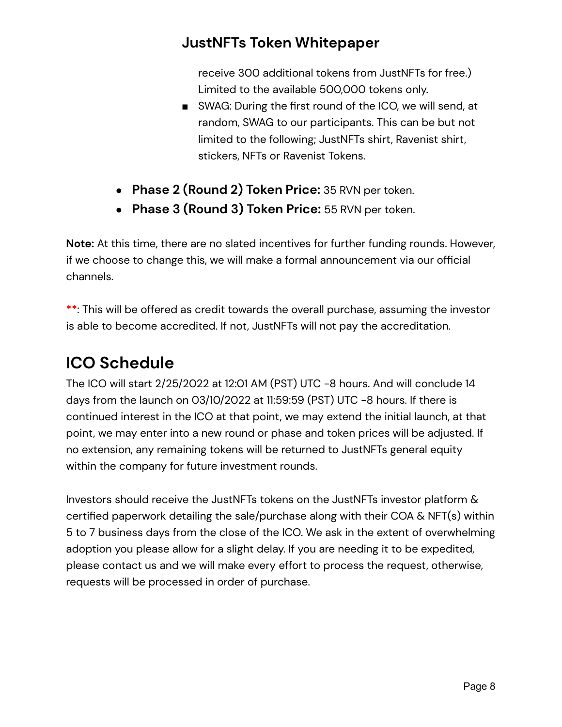receive 300 additional tokens from JustNFTs for free.) Limited to the available 500,000 tokens only.

- SWAG: During the first round of the ICO, we will send, at random, SWAG to our participants. This can be but not limited to the following; JustNFTs shirt, Ravenist shirt, stickers, NFTs or Ravenist Tokens.
- **Phase 2 (Round 2) Token Price:** 35 RVN per token.
- **Phase 3 (Round 3) Token Price:** 55 RVN per token.

**Note:** At this time, there are no slated incentives for further funding rounds. However, if we choose to change this, we will make a formal announcement via our official channels.

**\*\***: This will be offered as credit towards the overall purchase, assuming the investor is able to become accredited. If not, JustNFTs will not pay the accreditation.

# <span id="page-7-0"></span>**ICO Schedule**

The ICO will start 2/25/2022 at 12:01 AM (PST) UTC -8 hours. And will conclude 14 days from the launch on 03/10/2022 at 11:59:59 (PST) UTC -8 hours. If there is continued interest in the ICO at that point, we may extend the initial launch, at that point, we may enter into a new round or phase and token prices will be adjusted. If no extension, any remaining tokens will be returned to JustNFTs general equity within the company for future investment rounds.

Investors should receive the JustNFTs tokens on the JustNFTs investor platform & certified paperwork detailing the sale/purchase along with their COA & NFT(s) within 5 to 7 business days from the close of the ICO. We ask in the extent of overwhelming adoption you please allow for a slight delay. If you are needing it to be expedited, please contact us and we will make every effort to process the request, otherwise, requests will be processed in order of purchase.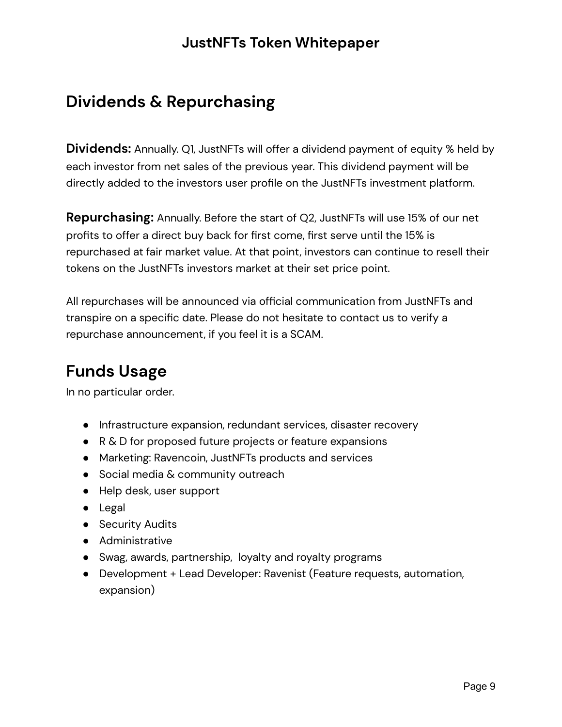## <span id="page-8-0"></span>**Dividends & Repurchasing**

**Dividends:** Annually. Q1, JustNFTs will offer a dividend payment of equity % held by each investor from net sales of the previous year. This dividend payment will be directly added to the investors user profile on the JustNFTs investment platform.

**Repurchasing:** Annually. Before the start of Q2, JustNFTs will use 15% of our net profits to offer a direct buy back for first come, first serve until the 15% is repurchased at fair market value. At that point, investors can continue to resell their tokens on the JustNFTs investors market at their set price point.

All repurchases will be announced via official communication from JustNFTs and transpire on a specific date. Please do not hesitate to contact us to verify a repurchase announcement, if you feel it is a SCAM.

## <span id="page-8-1"></span>**Funds Usage**

In no particular order.

- Infrastructure expansion, redundant services, disaster recovery
- R & D for proposed future projects or feature expansions
- Marketing: Ravencoin, JustNFTs products and services
- Social media & community outreach
- Help desk, user support
- Legal
- Security Audits
- Administrative
- Swag, awards, partnership, loyalty and royalty programs
- Development + Lead Developer: Ravenist (Feature requests, automation, expansion)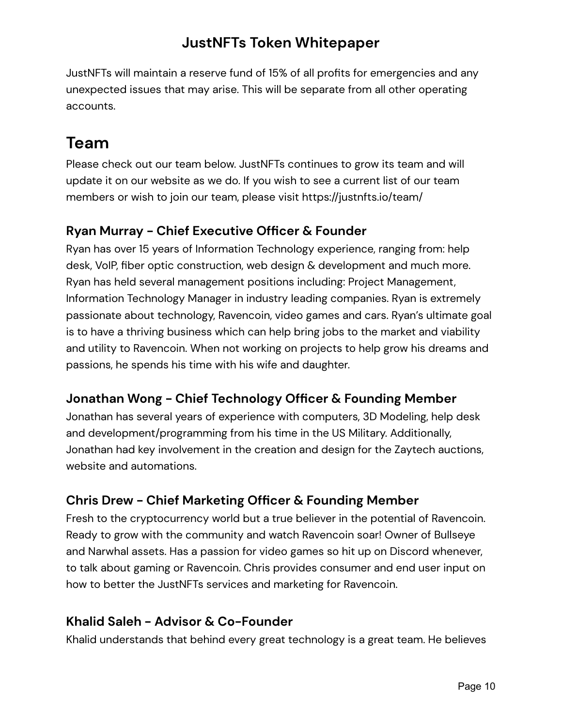JustNFTs will maintain a reserve fund of 15% of all profits for emergencies and any unexpected issues that may arise. This will be separate from all other operating accounts.

## <span id="page-9-0"></span>**Team**

Please check out our team below. JustNFTs continues to grow its team and will update it on our website as we do. If you wish to see a current list of our team members or wish to join our team, please visit https://justnfts.io/team/

#### **Ryan Murray - Chief Executive Officer & Founder**

Ryan has over 15 years of Information Technology experience, ranging from: help desk, VoIP, fiber optic construction, web design & development and much more. Ryan has held several management positions including: Project Management, Information Technology Manager in industry leading companies. Ryan is extremely passionate about technology, Ravencoin, video games and cars. Ryan's ultimate goal is to have a thriving business which can help bring jobs to the market and viability and utility to Ravencoin. When not working on projects to help grow his dreams and passions, he spends his time with his wife and daughter.

#### **Jonathan Wong - Chief Technology Officer & Founding Member**

Jonathan has several years of experience with computers, 3D Modeling, help desk and development/programming from his time in the US Military. Additionally, Jonathan had key involvement in the creation and design for the Zaytech auctions, website and automations.

#### **Chris Drew - Chief Marketing Officer & Founding Member**

Fresh to the cryptocurrency world but a true believer in the potential of Ravencoin. Ready to grow with the community and watch Ravencoin soar! Owner of Bullseye and Narwhal assets. Has a passion for video games so hit up on Discord whenever, to talk about gaming or Ravencoin. Chris provides consumer and end user input on how to better the JustNFTs services and marketing for Ravencoin.

#### **Khalid Saleh - Advisor & Co-Founder**

Khalid understands that behind every great technology is a great team. He believes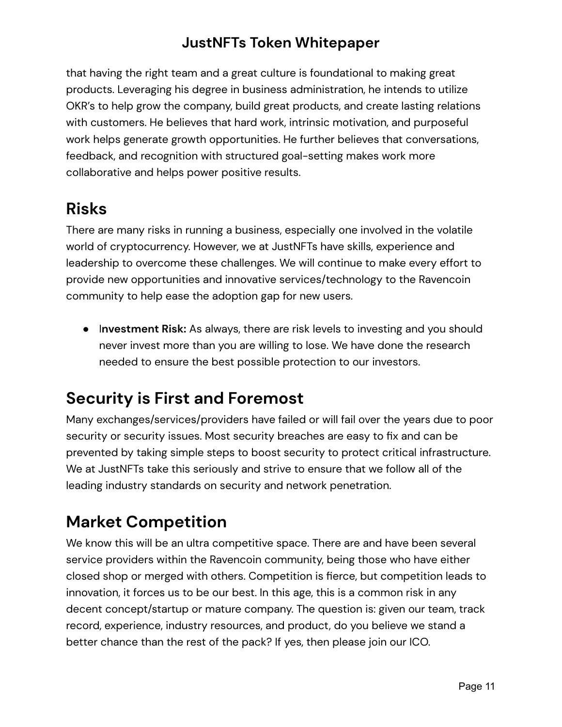that having the right team and a great culture is foundational to making great products. Leveraging his degree in business administration, he intends to utilize OKR's to help grow the company, build great products, and create lasting relations with customers. He believes that hard work, intrinsic motivation, and purposeful work helps generate growth opportunities. He further believes that conversations, feedback, and recognition with structured goal-setting makes work more collaborative and helps power positive results.

## <span id="page-10-0"></span>**Risks**

There are many risks in running a business, especially one involved in the volatile world of cryptocurrency. However, we at JustNFTs have skills, experience and leadership to overcome these challenges. We will continue to make every effort to provide new opportunities and innovative services/technology to the Ravencoin community to help ease the adoption gap for new users.

● I**nvestment Risk:** As always, there are risk levels to investing and you should never invest more than you are willing to lose. We have done the research needed to ensure the best possible protection to our investors.

## <span id="page-10-1"></span>**Security is First and Foremost**

Many exchanges/services/providers have failed or will fail over the years due to poor security or security issues. Most security breaches are easy to fix and can be prevented by taking simple steps to boost security to protect critical infrastructure. We at JustNFTs take this seriously and strive to ensure that we follow all of the leading industry standards on security and network penetration.

## <span id="page-10-2"></span>**Market Competition**

We know this will be an ultra competitive space. There are and have been several service providers within the Ravencoin community, being those who have either closed shop or merged with others. Competition is fierce, but competition leads to innovation, it forces us to be our best. In this age, this is a common risk in any decent concept/startup or mature company. The question is: given our team, track record, experience, industry resources, and product, do you believe we stand a better chance than the rest of the pack? If yes, then please join our ICO.